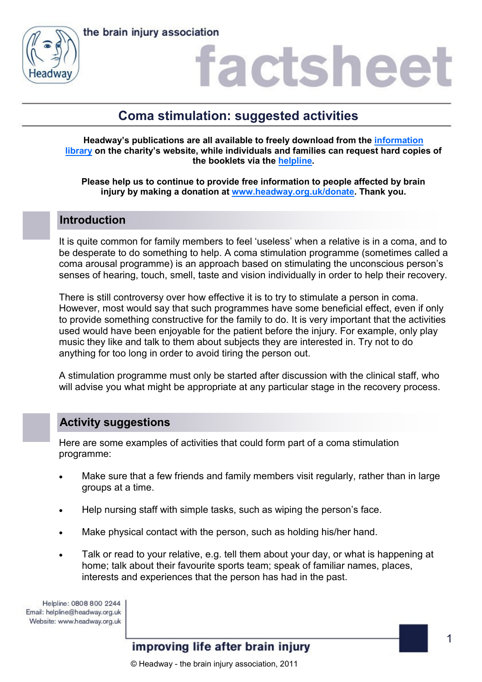

## actshee

### **Coma stimulation: suggested activities**

**Headway's publications are all available to freely download from the [information](https://www.headway.org.uk/about-brain-injury/individuals/information-library/)  [library](https://www.headway.org.uk/about-brain-injury/individuals/information-library/) on the charity's website, while individuals and families can request hard copies of the booklets via the [helpline.](https://www.headway.org.uk/supporting-you/helpline/)**

**Please help us to continue to provide free information to people affected by brain injury by making a donation at [www.headway.org.uk/donate.](http://www.headway.org.uk/donate) Thank you.**

#### **Introduction**

It is quite common for family members to feel 'useless' when a relative is in a coma, and to be desperate to do something to help. A coma stimulation programme (sometimes called a coma arousal programme) is an approach based on stimulating the unconscious person's senses of hearing, touch, smell, taste and vision individually in order to help their recovery.

There is still controversy over how effective it is to try to stimulate a person in coma. However, most would say that such programmes have some beneficial effect, even if only to provide something constructive for the family to do. It is very important that the activities used would have been enjoyable for the patient before the injury. For example, only play music they like and talk to them about subjects they are interested in. Try not to do anything for too long in order to avoid tiring the person out.

A stimulation programme must only be started after discussion with the clinical staff, who will advise you what might be appropriate at any particular stage in the recovery process.

#### **Activity suggestions**

Here are some examples of activities that could form part of a coma stimulation programme:

- Make sure that a few friends and family members visit regularly, rather than in large groups at a time.
- Help nursing staff with simple tasks, such as wiping the person's face.
- Make physical contact with the person, such as holding his/her hand.
- Talk or read to your relative, e.g. tell them about your day, or what is happening at home; talk about their favourite sports team; speak of familiar names, places, interests and experiences that the person has had in the past.

Helpline: 0808 800 2244 Email: helpline@headway.org.uk Website: www.headway.org.uk

#### improving life after brain injury